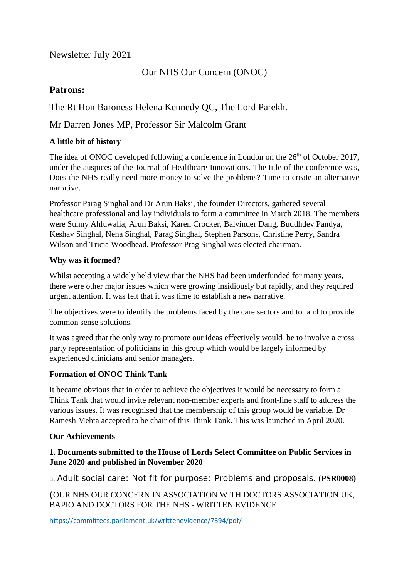# Newsletter July 2021

Our NHS Our Concern (ONOC)

# **Patrons:**

The Rt Hon Baroness Helena Kennedy QC, The Lord Parekh.

# Mr Darren Jones MP, Professor Sir Malcolm Grant

## **A little bit of history**

The idea of ONOC developed following a conference in London on the 26<sup>th</sup> of October 2017, under the auspices of the Journal of Healthcare Innovations. The title of the conference was, Does the NHS really need more money to solve the problems? Time to create an alternative narrative.

Professor Parag Singhal and Dr Arun Baksi, the founder Directors, gathered several healthcare professional and lay individuals to form a committee in March 2018. The members were Sunny Ahluwalia, Arun Baksi, Karen Crocker, Balvinder Dang, Buddhdev Pandya, Keshav Singhal, Neha Singhal, Parag Singhal, Stephen Parsons, Christine Perry, Sandra Wilson and Tricia Woodhead. Professor Prag Singhal was elected chairman.

## **Why was it formed?**

Whilst accepting a widely held view that the NHS had been underfunded for many years, there were other major issues which were growing insidiously but rapidly, and they required urgent attention. It was felt that it was time to establish a new narrative.

The objectives were to identify the problems faced by the care sectors and to and to provide common sense solutions.

It was agreed that the only way to promote our ideas effectively would be to involve a cross party representation of politicians in this group which would be largely informed by experienced clinicians and senior managers.

## **Formation of ONOC Think Tank**

It became obvious that in order to achieve the objectives it would be necessary to form a Think Tank that would invite relevant non-member experts and front-line staff to address the various issues. It was recognised that the membership of this group would be variable. Dr Ramesh Mehta accepted to be chair of this Think Tank. This was launched in April 2020.

## **Our Achievements**

## **1. Documents submitted to the House of Lords Select Committee on Public Services in June 2020 and published in November 2020**

a. Adult social care: Not fit for purpose: Problems and proposals. **(PSR0008)**

(OUR NHS OUR CONCERN IN ASSOCIATION WITH DOCTORS ASSOCIATION UK, BAPIO AND DOCTORS FOR THE NHS - WRITTEN EVIDENCE

<https://committees.parliament.uk/writtenevidence/7394/pdf/>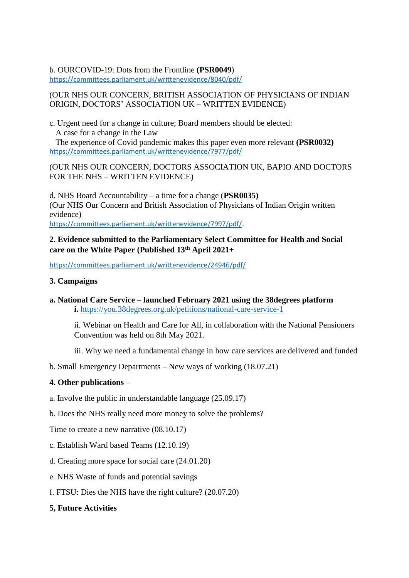#### b. OURCOVID-19: Dots from the Frontline **(PSR0049**)

<https://committees.parliament.uk/writtenevidence/8040/pdf/>

#### (OUR NHS OUR CONCERN, BRITISH ASSOCIATION OF PHYSICIANS OF INDIAN ORIGIN, DOCTORS' ASSOCIATION UK – WRITTEN EVIDENCE)

c. Urgent need for a change in culture; Board members should be elected: A case for a change in the Law

 The experience of Covid pandemic makes this paper even more relevant **(PSR0032)** <https://committees.parliament.uk/writtenevidence/7977/pdf/>

### (OUR NHS OUR CONCERN, DOCTORS ASSOCIATION UK, BAPIO AND DOCTORS FOR THE NHS – WRITTEN EVIDENCE)

d. NHS Board Accountability – a time for a change (**PSR0035)** (Our NHS Our Concern and British Association of Physicians of Indian Origin written evidence) [https://committees.parliament.uk/writtenevidence/7997/pdf/.](https://committees.parliament.uk/writtenevidence/7997/pdf/)

## **2. Evidence submitted to the Parliamentary Select Committee for Health and Social care on the White Paper (Published 13th April 2021+**

<https://committees.parliament.uk/writtenevidence/24946/pdf/>

## **3. Campaigns**

**a. National Care Service – launched February 2021 using the 38degrees platform i.** <https://you.38degrees.org.uk/petitions/national-care-service-1>

ii. Webinar on Health and Care for All, in collaboration with the National Pensioners Convention was held on 8th May 2021.

iii. Why we need a fundamental change in how care services are delivered and funded

b. Small Emergency Departments – New ways of working (18.07.21)

## **4. Other publications** –

- a. Involve the public in understandable language (25.09.17)
- b. Does the NHS really need more money to solve the problems?

Time to create a new narrative (08.10.17)

- c. Establish Ward based Teams (12.10.19)
- d. Creating more space for social care (24.01.20)
- e. NHS Waste of funds and potential savings
- f. FTSU: Dies the NHS have the right culture? (20.07.20)

## **5, Future Activities**